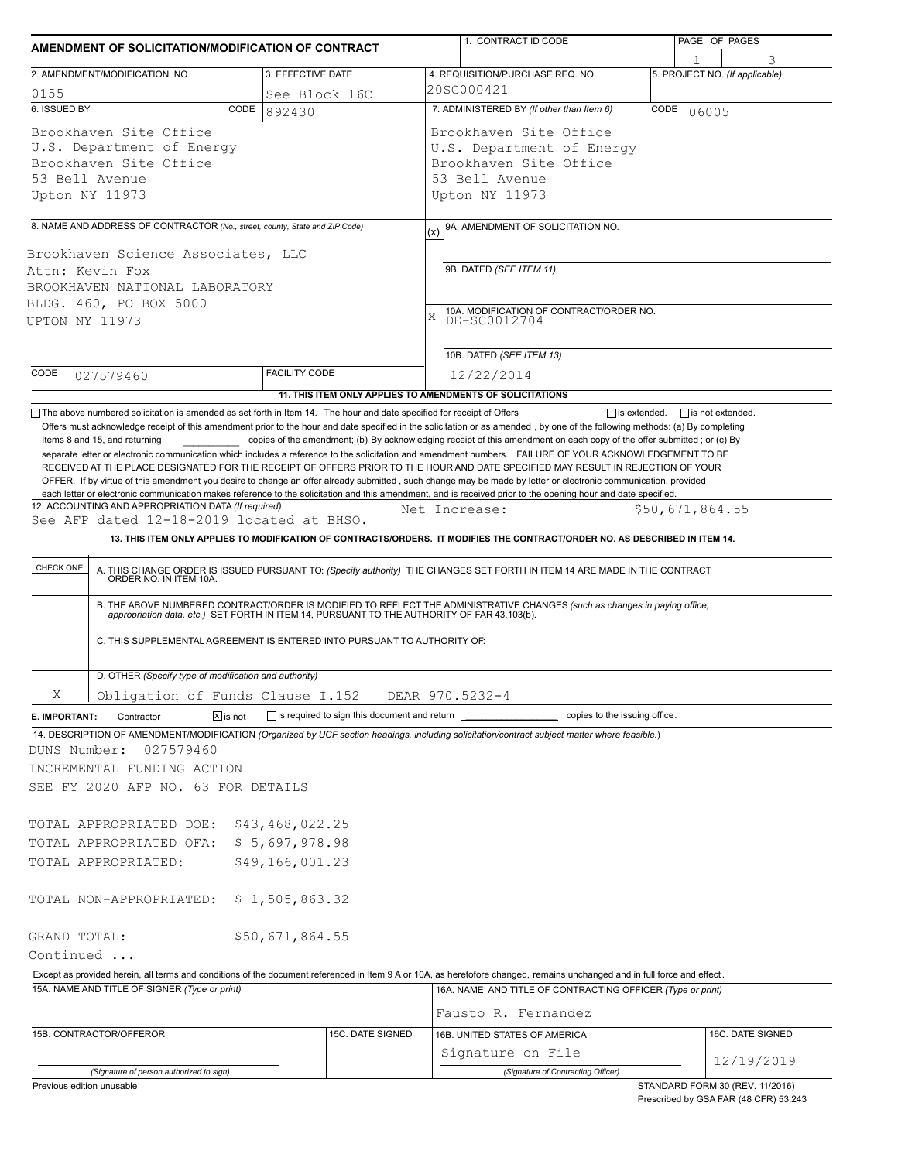| AMENDMENT OF SOLICITATION/MODIFICATION OF CONTRACT                                                                                                                                                                                                                                                                                          |                                   |                                              | 1. CONTRACT ID CODE                                                                                                                                                             |                                                                                                                                                                                                                                                                                                                                                                                                                                                                                                                           |                                | PAGE OF PAGES                                                            |  |  |  |  |
|---------------------------------------------------------------------------------------------------------------------------------------------------------------------------------------------------------------------------------------------------------------------------------------------------------------------------------------------|-----------------------------------|----------------------------------------------|---------------------------------------------------------------------------------------------------------------------------------------------------------------------------------|---------------------------------------------------------------------------------------------------------------------------------------------------------------------------------------------------------------------------------------------------------------------------------------------------------------------------------------------------------------------------------------------------------------------------------------------------------------------------------------------------------------------------|--------------------------------|--------------------------------------------------------------------------|--|--|--|--|
|                                                                                                                                                                                                                                                                                                                                             |                                   |                                              |                                                                                                                                                                                 |                                                                                                                                                                                                                                                                                                                                                                                                                                                                                                                           |                                |                                                                          |  |  |  |  |
| 2. AMENDMENT/MODIFICATION NO.                                                                                                                                                                                                                                                                                                               | 3. EFFECTIVE DATE                 |                                              |                                                                                                                                                                                 | 4. REQUISITION/PURCHASE REQ. NO.<br>20SC000421                                                                                                                                                                                                                                                                                                                                                                                                                                                                            | 5. PROJECT NO. (If applicable) |                                                                          |  |  |  |  |
| 0155<br>6. ISSUED BY                                                                                                                                                                                                                                                                                                                        | See Block 16C                     |                                              |                                                                                                                                                                                 |                                                                                                                                                                                                                                                                                                                                                                                                                                                                                                                           |                                |                                                                          |  |  |  |  |
| CODE<br>892430<br>Brookhaven Site Office<br>U.S. Department of Energy<br>Brookhaven Site Office<br>53 Bell Avenue<br>Upton NY 11973                                                                                                                                                                                                         |                                   |                                              | 7. ADMINISTERED BY (If other than Item 6)<br>CODE<br>06005<br>Brookhaven Site Office<br>U.S. Department of Energy<br>Brookhaven Site Office<br>53 Bell Avenue<br>Upton NY 11973 |                                                                                                                                                                                                                                                                                                                                                                                                                                                                                                                           |                                |                                                                          |  |  |  |  |
|                                                                                                                                                                                                                                                                                                                                             |                                   |                                              |                                                                                                                                                                                 |                                                                                                                                                                                                                                                                                                                                                                                                                                                                                                                           |                                |                                                                          |  |  |  |  |
| 8. NAME AND ADDRESS OF CONTRACTOR (No., street, county, State and ZIP Code)                                                                                                                                                                                                                                                                 |                                   |                                              | (x)                                                                                                                                                                             | 9A. AMENDMENT OF SOLICITATION NO.                                                                                                                                                                                                                                                                                                                                                                                                                                                                                         |                                |                                                                          |  |  |  |  |
| Brookhaven Science Associates, LLC<br>Attn: Kevin Fox<br>BROOKHAVEN NATIONAL LABORATORY<br>BLDG. 460, PO BOX 5000<br>UPTON NY 11973                                                                                                                                                                                                         |                                   |                                              | 9B. DATED (SEE ITEM 11)<br>10A. MODIFICATION OF CONTRACT/ORDER NO.<br>DE-SC0012704<br>X                                                                                         |                                                                                                                                                                                                                                                                                                                                                                                                                                                                                                                           |                                |                                                                          |  |  |  |  |
| CODE                                                                                                                                                                                                                                                                                                                                        | <b>FACILITY CODE</b>              |                                              |                                                                                                                                                                                 | 10B. DATED (SEE ITEM 13)                                                                                                                                                                                                                                                                                                                                                                                                                                                                                                  |                                |                                                                          |  |  |  |  |
| 027579460                                                                                                                                                                                                                                                                                                                                   |                                   |                                              |                                                                                                                                                                                 | 12/22/2014<br>11. THIS ITEM ONLY APPLIES TO AMENDMENTS OF SOLICITATIONS                                                                                                                                                                                                                                                                                                                                                                                                                                                   |                                |                                                                          |  |  |  |  |
| 12. ACCOUNTING AND APPROPRIATION DATA (If required)<br>See AFP dated 12-18-2019 located at BHSO.<br>CHECK ONE                                                                                                                                                                                                                               |                                   |                                              |                                                                                                                                                                                 | Net Increase:<br>13. THIS ITEM ONLY APPLIES TO MODIFICATION OF CONTRACTS/ORDERS. IT MODIFIES THE CONTRACT/ORDER NO. AS DESCRIBED IN ITEM 14.<br>A. THIS CHANGE ORDER IS ISSUED PURSUANT TO: (Specify authority) THE CHANGES SET FORTH IN ITEM 14 ARE MADE IN THE CONTRACT ORDER NO. IN ITEM 10A.<br>B. THE ABOVE NUMBERED CONTRACT/ORDER IS MODIFIED TO REFLECT THE ADMINISTRATIVE CHANGES (such as changes in paying office, appropriation data, etc.) SET FORTH IN ITEM 14, PURSUANT TO THE AUTHORITY OF FAR 43.103(b). |                                | \$50,671,864.55                                                          |  |  |  |  |
| C. THIS SUPPLEMENTAL AGREEMENT IS ENTERED INTO PURSUANT TO AUTHORITY OF:                                                                                                                                                                                                                                                                    |                                   |                                              |                                                                                                                                                                                 |                                                                                                                                                                                                                                                                                                                                                                                                                                                                                                                           |                                |                                                                          |  |  |  |  |
| D. OTHER (Specify type of modification and authority)                                                                                                                                                                                                                                                                                       |                                   |                                              |                                                                                                                                                                                 |                                                                                                                                                                                                                                                                                                                                                                                                                                                                                                                           |                                |                                                                          |  |  |  |  |
| Χ<br>Obligation of Funds Clause I.152<br>$\boxtimes$ is not<br>Contractor<br>E. IMPORTANT:                                                                                                                                                                                                                                                  |                                   | is required to sign this document and return |                                                                                                                                                                                 | DEAR 970.5232-4<br>copies to the issuing office.                                                                                                                                                                                                                                                                                                                                                                                                                                                                          |                                |                                                                          |  |  |  |  |
| 14. DESCRIPTION OF AMENDMENT/MODIFICATION (Organized by UCF section headings, including solicitation/contract subject matter where feasible.)<br>DUNS Number:<br>027579460<br>INCREMENTAL FUNDING ACTION<br>SEE FY 2020 AFP NO. 63 FOR DETAILS<br>TOTAL APPROPRIATED DOE: \$43,468,022.25<br>TOTAL APPROPRIATED OFA:<br>TOTAL APPROPRIATED: | \$5,697,978.98<br>\$49,166,001.23 |                                              |                                                                                                                                                                                 |                                                                                                                                                                                                                                                                                                                                                                                                                                                                                                                           |                                |                                                                          |  |  |  |  |
| TOTAL NON-APPROPRIATED:                                                                                                                                                                                                                                                                                                                     | \$1,505,863.32                    |                                              |                                                                                                                                                                                 |                                                                                                                                                                                                                                                                                                                                                                                                                                                                                                                           |                                |                                                                          |  |  |  |  |
| GRAND TOTAL:                                                                                                                                                                                                                                                                                                                                | \$50,671,864.55                   |                                              |                                                                                                                                                                                 |                                                                                                                                                                                                                                                                                                                                                                                                                                                                                                                           |                                |                                                                          |  |  |  |  |
| Continued                                                                                                                                                                                                                                                                                                                                   |                                   |                                              |                                                                                                                                                                                 |                                                                                                                                                                                                                                                                                                                                                                                                                                                                                                                           |                                |                                                                          |  |  |  |  |
| Except as provided herein, all terms and conditions of the document referenced in Item 9 A or 10A, as heretofore changed, remains unchanged and in full force and effect.                                                                                                                                                                   |                                   |                                              |                                                                                                                                                                                 |                                                                                                                                                                                                                                                                                                                                                                                                                                                                                                                           |                                |                                                                          |  |  |  |  |
| 15A. NAME AND TITLE OF SIGNER (Type or print)                                                                                                                                                                                                                                                                                               |                                   |                                              |                                                                                                                                                                                 | 16A. NAME AND TITLE OF CONTRACTING OFFICER (Type or print)<br>Fausto R. Fernandez                                                                                                                                                                                                                                                                                                                                                                                                                                         |                                |                                                                          |  |  |  |  |
| 15B. CONTRACTOR/OFFEROR                                                                                                                                                                                                                                                                                                                     |                                   | 15C. DATE SIGNED                             |                                                                                                                                                                                 | 16B. UNITED STATES OF AMERICA<br>Signature on File                                                                                                                                                                                                                                                                                                                                                                                                                                                                        |                                | 16C. DATE SIGNED                                                         |  |  |  |  |
|                                                                                                                                                                                                                                                                                                                                             |                                   |                                              |                                                                                                                                                                                 |                                                                                                                                                                                                                                                                                                                                                                                                                                                                                                                           |                                | 12/19/2019                                                               |  |  |  |  |
| (Signature of person authorized to sign)<br>Previous edition unusable                                                                                                                                                                                                                                                                       |                                   |                                              |                                                                                                                                                                                 | (Signature of Contracting Officer)                                                                                                                                                                                                                                                                                                                                                                                                                                                                                        |                                | STANDARD FORM 30 (REV. 11/2016)<br>Prescribed by GSA FAR (48 CFR) 53 243 |  |  |  |  |

Prescribed by GSA FAR (48 CFR) 53.243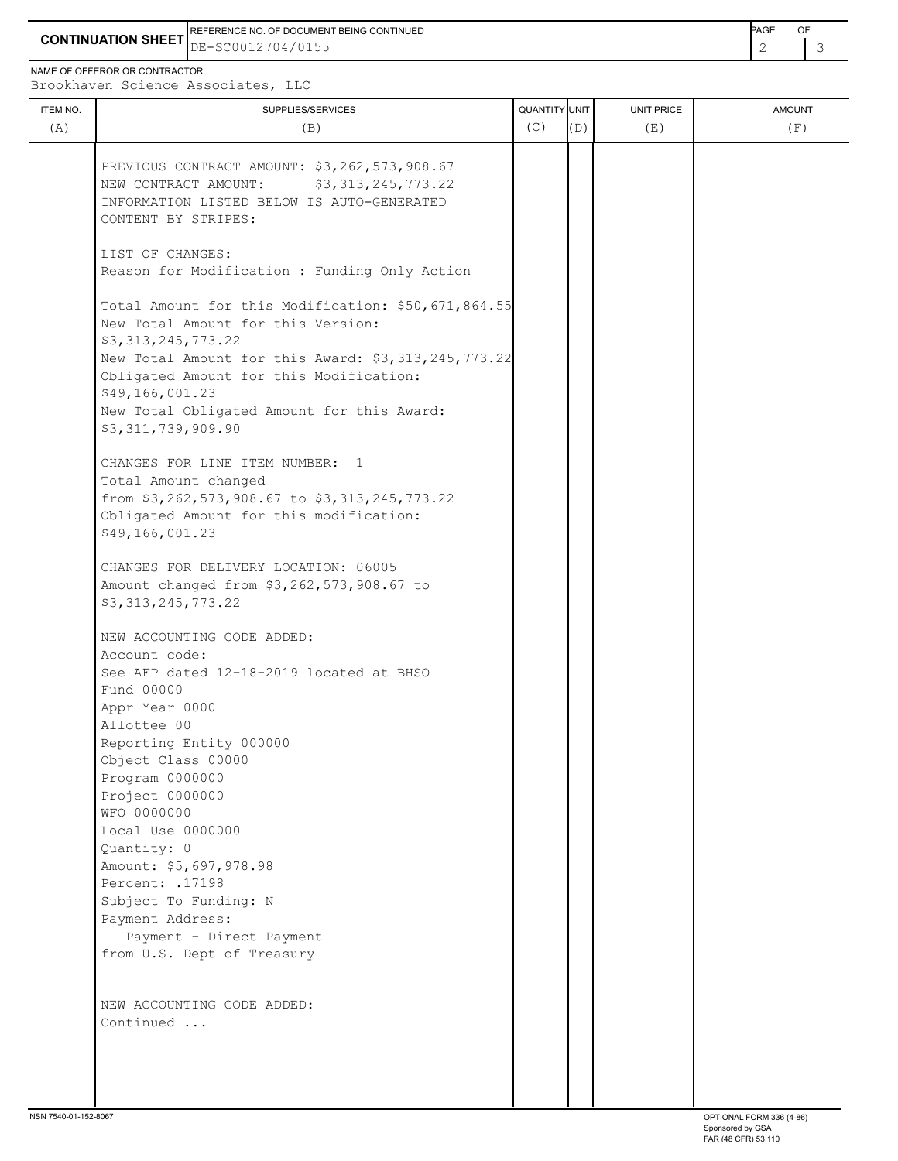**CONTINUATION SHEET** DE-SC0012704/0155 REFERENCE NO. OF DOCUMENT BEING CONTINUED **Example 2008** PAGE OF

NAME OF OFFEROR OR CONTRACTOR

Brookhaven Science Associates, LLC

| ITEM NO.<br>(A) | SUPPLIES/SERVICES<br>(B)                                                                                                                                               | QUANTITY UNIT<br>(C) | (D) | <b>UNIT PRICE</b><br>(E) | <b>AMOUNT</b><br>(F) |
|-----------------|------------------------------------------------------------------------------------------------------------------------------------------------------------------------|----------------------|-----|--------------------------|----------------------|
|                 | PREVIOUS CONTRACT AMOUNT: \$3,262,573,908.67<br>NEW CONTRACT AMOUNT:<br>\$3,313,245,773.22<br>INFORMATION LISTED BELOW IS AUTO-GENERATED<br>CONTENT BY STRIPES:        |                      |     |                          |                      |
|                 | LIST OF CHANGES:<br>Reason for Modification : Funding Only Action                                                                                                      |                      |     |                          |                      |
|                 | Total Amount for this Modification: \$50,671,864.55<br>New Total Amount for this Version:<br>\$3,313,245,773.22                                                        |                      |     |                          |                      |
|                 | New Total Amount for this Award: \$3,313,245,773.22<br>Obligated Amount for this Modification:<br>\$49,166,001.23                                                      |                      |     |                          |                      |
|                 | New Total Obligated Amount for this Award:<br>\$3,311,739,909.90                                                                                                       |                      |     |                          |                      |
|                 | CHANGES FOR LINE ITEM NUMBER: 1<br>Total Amount changed<br>from \$3,262,573,908.67 to \$3,313,245,773.22<br>Obligated Amount for this modification:<br>\$49,166,001.23 |                      |     |                          |                      |
|                 | CHANGES FOR DELIVERY LOCATION: 06005<br>Amount changed from \$3,262,573,908.67 to<br>\$3,313,245,773.22                                                                |                      |     |                          |                      |
|                 | NEW ACCOUNTING CODE ADDED:<br>Account code:<br>See AFP dated 12-18-2019 located at BHSO                                                                                |                      |     |                          |                      |
|                 | Fund 00000<br>Appr Year 0000<br>Allottee 00                                                                                                                            |                      |     |                          |                      |
|                 | Reporting Entity 000000<br>Object Class 00000<br>Program 0000000                                                                                                       |                      |     |                          |                      |
|                 | Project 0000000<br>WFO 0000000<br>Local Use 0000000                                                                                                                    |                      |     |                          |                      |
|                 | Quantity: 0<br>Amount: \$5,697,978.98<br>Percent: .17198                                                                                                               |                      |     |                          |                      |
|                 | Subject To Funding: N<br>Payment Address:<br>Payment - Direct Payment                                                                                                  |                      |     |                          |                      |
|                 | from U.S. Dept of Treasury                                                                                                                                             |                      |     |                          |                      |
|                 | NEW ACCOUNTING CODE ADDED:<br>Continued                                                                                                                                |                      |     |                          |                      |
|                 |                                                                                                                                                                        |                      |     |                          |                      |